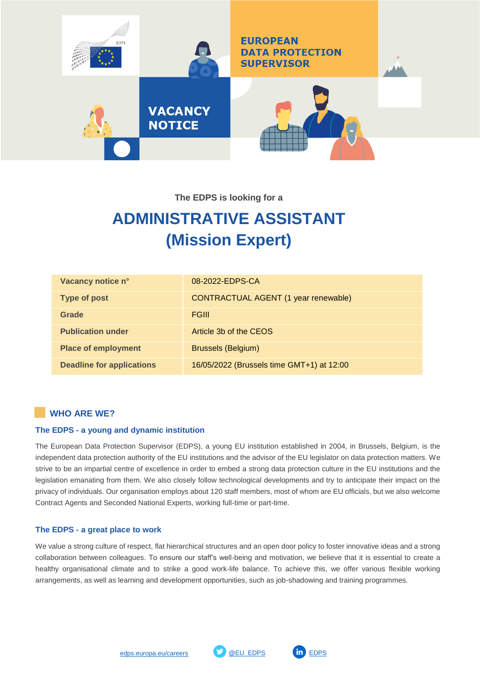

**The EDPS is looking for a**

# **ADMINISTRATIVE ASSISTANT (Mission Expert)**

| Vacancy notice n°                | 08-2022-EDPS-CA                           |
|----------------------------------|-------------------------------------------|
| <b>Type of post</b>              | CONTRACTUAL AGENT (1 year renewable)      |
| Grade                            | <b>FGIII</b>                              |
| <b>Publication under</b>         | Article 3b of the CEOS                    |
| <b>Place of employment</b>       | <b>Brussels (Belgium)</b>                 |
| <b>Deadline for applications</b> | 16/05/2022 (Brussels time GMT+1) at 12:00 |

## **WHO ARE WE?**

### **The EDPS - a young and dynamic institution**

The European Data Protection Supervisor (EDPS), a young EU institution established in 2004, in Brussels, Belgium, is the independent data protection authority of the EU institutions and the advisor of the EU legislator on data protection matters. We strive to be an impartial centre of excellence in order to embed a strong data protection culture in the EU institutions and the legislation emanating from them. We also closely follow technological developments and try to anticipate their impact on the privacy of individuals. Our organisation employs about 120 staff members, most of whom are EU officials, but we also welcome Contract Agents and Seconded National Experts, working full-time or part-time.

### **The EDPS - a great place to work**

We value a strong culture of respect, flat hierarchical structures and an open door policy to foster innovative ideas and a strong collaboration between colleagues. To ensure our staff's well-being and motivation, we believe that it is essential to create a healthy organisational climate and to strike a good work-life balance. To achieve this, we offer various flexible working arrangements, as well as learning and development opportunities, such as job-shadowing and training programmes.



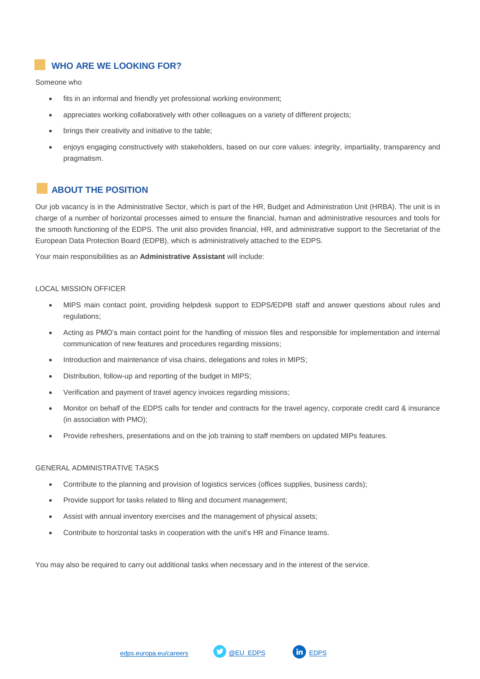## **WHO ARE WE LOOKING FOR?**

Someone who

- fits in an informal and friendly yet professional working environment;
- appreciates working collaboratively with other colleagues on a variety of different projects;
- brings their creativity and initiative to the table;
- enjoys engaging constructively with stakeholders, based on our core values: integrity, impartiality, transparency and pragmatism.

## **ABOUT THE POSITION**

Our job vacancy is in the Administrative Sector, which is part of the HR, Budget and Administration Unit (HRBA). The unit is in charge of a number of horizontal processes aimed to ensure the financial, human and administrative resources and tools for the smooth functioning of the EDPS. The unit also provides financial, HR, and administrative support to the Secretariat of the European Data Protection Board (EDPB), which is administratively attached to the EDPS.

Your main responsibilities as an **Administrative Assistant** will include:

### LOCAL MISSION OFFICER

- MIPS main contact point, providing helpdesk support to EDPS/EDPB staff and answer questions about rules and regulations;
- Acting as PMO's main contact point for the handling of mission files and responsible for implementation and internal communication of new features and procedures regarding missions;
- Introduction and maintenance of visa chains, delegations and roles in MIPS;
- Distribution, follow-up and reporting of the budget in MIPS;
- Verification and payment of travel agency invoices regarding missions;
- Monitor on behalf of the EDPS calls for tender and contracts for the travel agency, corporate credit card & insurance (in association with PMO);
- Provide refreshers, presentations and on the job training to staff members on updated MIPs features.

#### GENERAL ADMINISTRATIVE TASKS

- Contribute to the planning and provision of logistics services (offices supplies, business cards);
- Provide support for tasks related to filing and document management;
- Assist with annual inventory exercises and the management of physical assets;
- Contribute to horizontal tasks in cooperation with the unit's HR and Finance teams.

You may also be required to carry out additional tasks when necessary and in the interest of the service.

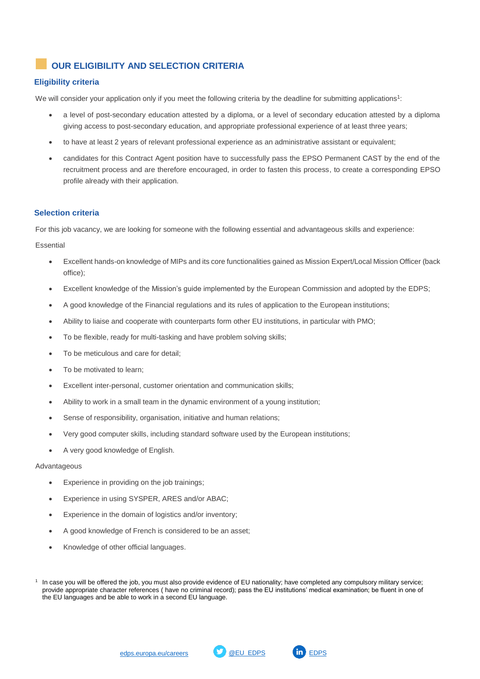# **OUR ELIGIBILITY AND SELECTION CRITERIA**

## **Eligibility criteria**

We will consider your application only if you meet the following criteria by the deadline for submitting applications<sup>1</sup>:

- a level of post-secondary education attested by a diploma, or a level of secondary education attested by a diploma giving access to post-secondary education, and appropriate professional experience of at least three years;
- to have at least 2 years of relevant professional experience as an administrative assistant or equivalent;
- candidates for this Contract Agent position have to successfully pass the EPSO Permanent CAST by the end of the recruitment process and are therefore encouraged, in order to fasten this process, to create a corresponding EPSO profile already with their application.

### **Selection criteria**

For this job vacancy, we are looking for someone with the following essential and advantageous skills and experience:

Essential

- Excellent hands-on knowledge of MIPs and its core functionalities gained as Mission Expert/Local Mission Officer (back office);
- Excellent knowledge of the Mission's guide implemented by the European Commission and adopted by the EDPS;
- A good knowledge of the Financial regulations and its rules of application to the European institutions;
- Ability to liaise and cooperate with counterparts form other EU institutions, in particular with PMO;
- To be flexible, ready for multi-tasking and have problem solving skills;
- To be meticulous and care for detail;
- To be motivated to learn;
- Excellent inter-personal, customer orientation and communication skills;
- Ability to work in a small team in the dynamic environment of a young institution;
- Sense of responsibility, organisation, initiative and human relations;
- Very good computer skills, including standard software used by the European institutions;
- A very good knowledge of English.

#### Advantageous

- Experience in providing on the job trainings;
- Experience in using SYSPER, ARES and/or ABAC;
- Experience in the domain of logistics and/or inventory;
- A good knowledge of French is considered to be an asset;
- Knowledge of other official languages.



<sup>1</sup> In case you will be offered the job, you must also provide evidence of EU nationality; have completed any compulsory military service; provide appropriate character references ( have no criminal record); pass the EU institutions' medical examination; be fluent in one of the EU languages and be able to work in a second EU language.